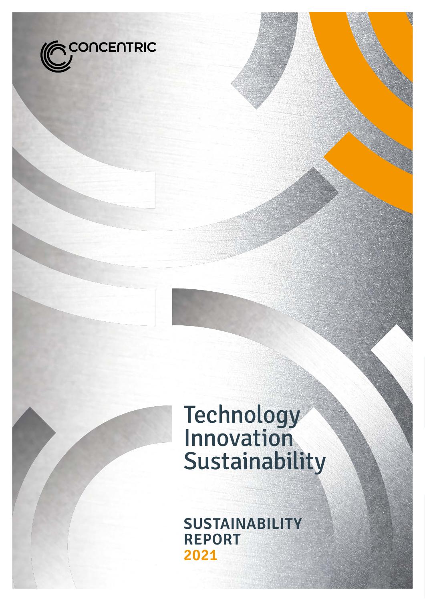

# Technology Innovation Sustainability

**SUSTAINABILITY REPORT 2021**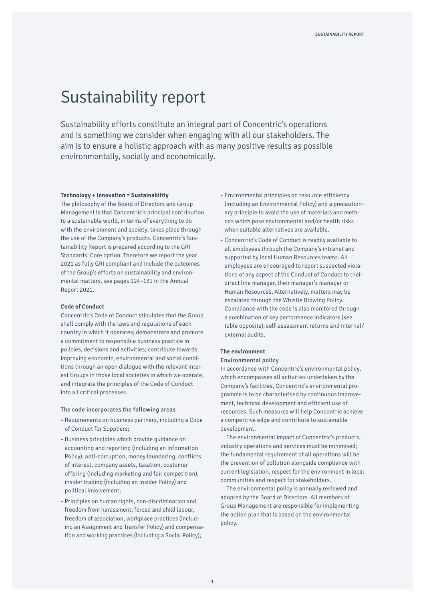# Sustainability report

Sustainability efforts constitute an integral part of Concentric's operations and is something we consider when engaging with all our stakeholders. The aim is to ensure a holistic approach with as many positive results as possible environmentally, socially and economically.

#### **Technology + Innovation = Sustainability**

The philosophy of the Board of Directors and Group Management is that Concentric's principal contribution to a sustainable world, in terms of everything to do with the environment and society, takes place through the use of the Company's products. Concentric's Sustainability Report is prepared according to the GRI Standards: Core option. Therefore we report the year 2021 as fully GRI compliant and include the outcomes of the Group's efforts on sustainability and environmental matters, see pages 124–131 in the Annual Report 2021.

#### **Code of Conduct**

Concentric's Code of Conduct stipulates that the Group shall comply with the laws and regulations of each country in which it operates; demonstrate and promote a commitment to responsible business practice in policies, decisions and activities; contribute towards improving economic, environmental and social conditions through an open dialogue with the relevant interest Groups in those local societies in which we operate, and integrate the principles of the Code of Conduct into all critical processes.

## The code incorporates the following areas

- Requirements on business partners, including a Code of Conduct for Suppliers;
- Business principles which provide guidance on accounting and reporting (including an Information Policy), anti-corruption, money laundering, conflicts of interest, company assets, taxation, customer offering (including marketing and fair competition), insider trading (including an Insider Policy) and political involvement;
- Principles on human rights, non-discrimination and freedom from harassment, forced and child labour, freedom of association, workplace practices (including an Assignment and Transfer Policy) and compensation and working practices (including a Social Policy);
- Environmental principles on resource efficiency (including an Environmental Policy) and a precautionary principle to avoid the use of materials and methods which pose environmental and/or health risks when suitable alternatives are available.
- Concentric's Code of Conduct is readily available to all employees through the Company's intranet and supported by local Human Resources teams. All employees are encouraged to report suspected violations of any aspect of the Conduct of Conduct to their direct line manager, their manager's manager or Human Resources. Alternatively, matters may be escalated through the Whistle Blowing Policy. Compliance with the code is also monitored through a combination of key performance indicators (see table opposite), self-assessment returns and internal/ external audits.

# **The environment**

# Environmental policy

In accordance with Concentric's environmental policy, which encompasses all activities undertaken by the Company's facilities, Concentric's environmental programme is to be characterised by continuous improvement, technical development and efficient use of resources. Such measures will help Concentric achieve a competitive edge and contribute to sustainable development.

The environmental impact of Concentric's products, industry operations and services must be minimised; the fundamental requirement of all operations will be the prevention of pollution alongside compliance with current legislation, respect for the environment in local communities and respect for stakeholders.

The environmental policy is annually reviewed and adopted by the Board of Directors. All members of Group Management are responsible for implementing the action plan that is based on the environmental policy.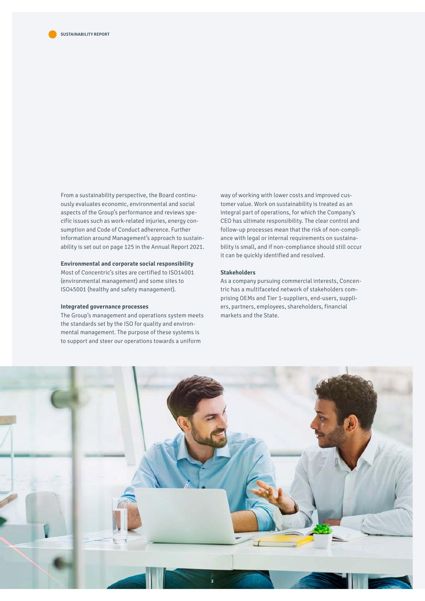From a sustainability perspective, the Board continuously evaluates economic, environmental and social aspects of the Group's performance and reviews specific issues such as work-related injuries, energy consumption and Code of Conduct adherence. Further information around Management's approach to sustainability is set out on page 125 in the Annual Report 2021.

#### **Environmental and corporate social responsibility**

Most of Concentric's sites are certified to ISO14001 (environmental management) and some sites to ISO45001 (healthy and safety management).

## **Integrated governance processes**

The Group's management and operations system meets the standards set by the ISO for quality and environmental management. The purpose of these systems is to support and steer our operations towards a uniform

way of working with lower costs and improved customer value. Work on sustainability is treated as an integral part of operations, for which the Company's CEO has ultimate responsibility. The clear control and follow-up processes mean that the risk of non-compliance with legal or internal requirements on sustainability is small, and if non-compliance should still occur it can be quickly identified and resolved.

#### **Stakeholders**

As a company pursuing commercial interests, Concentric has a multifaceted network of stakeholders comprising OEMs and Tier 1-suppliers, end-users, suppliers, partners, employees, shareholders, financial markets and the State.

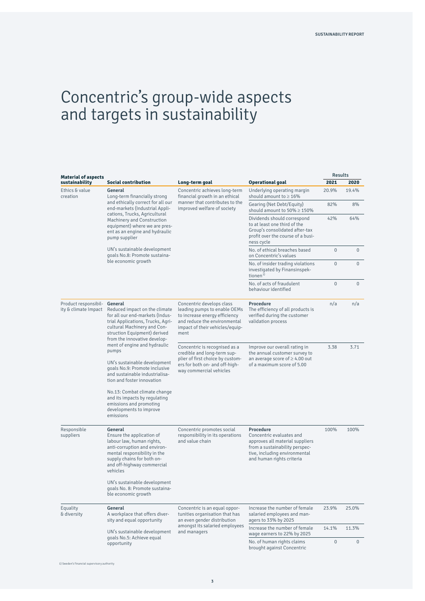Results

# Concentric's group-wide aspects and targets in sustainability

| <b>Material of aspects</b>                   |                                                                                                                                                                                                                                                                   |                                                                                                                                                                       |                                                                                                                                                                          | nesulls      |                     |
|----------------------------------------------|-------------------------------------------------------------------------------------------------------------------------------------------------------------------------------------------------------------------------------------------------------------------|-----------------------------------------------------------------------------------------------------------------------------------------------------------------------|--------------------------------------------------------------------------------------------------------------------------------------------------------------------------|--------------|---------------------|
| sustainability                               | <b>Social contribution</b>                                                                                                                                                                                                                                        | Long-term goal                                                                                                                                                        | <b>Operational goal</b>                                                                                                                                                  | 2021         | 2020                |
| Ethics & value<br>creation                   | General<br>Long-term financially strong<br>and ethically correct for all our<br>end-markets (Industrial Appli-<br>cations, Trucks, Agricultural<br>Machinery and Construction<br>equipment) where we are pres-<br>ent as an engine and hydraulic<br>pump supplier | Concentric achieves long-term<br>financial growth in an ethical<br>manner that contributes to the<br>improved welfare of society                                      | Underlying operating margin<br>should amount to $\geq 16\%$                                                                                                              | 20.9%        | 19.4%               |
|                                              |                                                                                                                                                                                                                                                                   |                                                                                                                                                                       | Gearing (Net Debt/Equity)<br>should amount to $50\% \ge 150\%$                                                                                                           | 82%          | 8%                  |
|                                              |                                                                                                                                                                                                                                                                   |                                                                                                                                                                       | Dividends should correspond<br>to at least one third of the<br>Group's consolidated after-tax<br>profit over the course of a busi-<br>ness cycle                         | 42%          | 64%                 |
|                                              | UN's sustainable development<br>goals No.8: Promote sustaina-<br>ble economic growth                                                                                                                                                                              |                                                                                                                                                                       | No. of ethical breaches based<br>on Concentric's values                                                                                                                  | $\mathbf{0}$ | $\mathsf{O}\xspace$ |
|                                              |                                                                                                                                                                                                                                                                   |                                                                                                                                                                       | No. of insider trading violations<br>investigated by Finansinspek-<br>tionen <sup>1)</sup>                                                                               | $\mathbf 0$  | $\mathbf 0$         |
|                                              |                                                                                                                                                                                                                                                                   |                                                                                                                                                                       | No. of acts of fraudulent<br>behaviour identified                                                                                                                        | $\mathbf{0}$ | $\mathbf 0$         |
| Product responsibil-<br>ity & climate Impact | General<br>Reduced impact on the climate<br>for all our end-markets (Indus-<br>trial Applications, Trucks, Agri-<br>cultural Machinery and Con-<br>struction Equipment) derived<br>from the innovative develop-                                                   | Concentric develops class<br>leading pumps to enable OEMs<br>to increase energy efficiency<br>and reduce the environmental<br>impact of their vehicles/equip-<br>ment | Procedure<br>The efficiency of all products is<br>verified during the customer<br>validation process                                                                     | n/a          | n/a                 |
|                                              | ment of engine and hydraulic<br>pumps                                                                                                                                                                                                                             | Concentric is recognised as a<br>credible and long-term sup-<br>plier of first choice by custom-<br>ers for both on- and off-high-<br>way commercial vehicles         | Improve our overall rating in<br>the annual customer survey to<br>an average score of $\geq 4.00$ out<br>of a maximum score of 5.00                                      | 3.38         | 3.71                |
|                                              | UN's sustainable development<br>goals No.9: Promote inclusive<br>and sustainable industrialisa-<br>tion and foster innovation                                                                                                                                     |                                                                                                                                                                       |                                                                                                                                                                          |              |                     |
|                                              | No.13: Combat climate change<br>and its impacts by regulating<br>emissions and promoting<br>developments to improve<br>emissions                                                                                                                                  |                                                                                                                                                                       |                                                                                                                                                                          |              |                     |
| Responsible<br>suppliers                     | General<br>Ensure the application of<br>labour law, human rights,<br>anti-corruption and environ-<br>mental responsibility in the<br>supply chains for both on-<br>and off-highway commercial<br>vehicles                                                         | Concentric promotes social<br>responsibility in its operations<br>and value chain                                                                                     | Procedure<br>Concentric evaluates and<br>approves all material suppliers<br>from a sustainability perspec-<br>tive, including environmental<br>and human rights criteria | 100%         | 100%                |
|                                              | UN's sustainable development<br>goals No. 8: Promote sustaina-<br>ble economic growth                                                                                                                                                                             |                                                                                                                                                                       |                                                                                                                                                                          |              |                     |
| Equality<br>& diversity                      | General<br>A workplace that offers diver-<br>sity and equal opportunity                                                                                                                                                                                           | Concentric is an equal oppor-<br>tunities organisation that has<br>an even gender distribution<br>amongst its salaried employees<br>and managers                      | Increase the number of female<br>salaried employees and man-<br>agers to 33% by 2025                                                                                     | 23.9%        | 25.0%               |
|                                              | UN's sustainable development                                                                                                                                                                                                                                      |                                                                                                                                                                       | Increase the number of female<br>wage earners to 22% by 2025                                                                                                             | 14.1%        | 11.3%               |
|                                              | goals No.5: Achieve equal<br>opportunity                                                                                                                                                                                                                          |                                                                                                                                                                       | No. of human rights claims<br>brought against Concentric                                                                                                                 | $\mathbf 0$  | $\mathbf 0$         |

1) Sweden's financial supervisory authority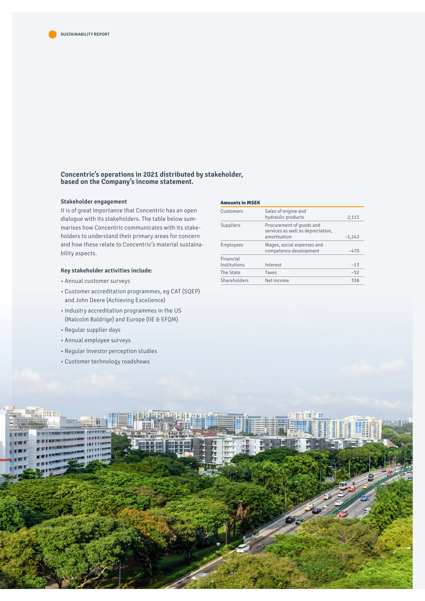

**Concentric's operations in 2021 distributed by stakeholder, based on the Company's income statement.**

#### **Stakeholder engagement**

It is of great importance that Concentric has an open dialogue with its stakeholders. The table below summarises how Concentric communicates with its stakeholders to understand their primary areas for concern and how these relate to Concentric's material sustainability aspects.

# **Key stakeholder activities include:**

- Annual customer surveys
- Customer accreditation programmes, eg CAT (SQEP) and John Deere (Achieving Excellence)
- Industry accreditation programmes in the US (Malcolm Baldrige) and Europe (IiE & EFQM)
- Regular supplier days
- Annual employee surveys
- Regular investor perception studies
- Customer technology roadshows

#### **Amounts in MSEK**

| Customers                 | Sales of engine and<br>hydraulic products                                     | 2,115    |
|---------------------------|-------------------------------------------------------------------------------|----------|
| Suppliers                 | Procurement of goods and<br>services as well as depreciation,<br>amortisation | $-1,242$ |
| Employees                 | Wages, social expenses and<br>competence development                          | $-470$   |
| Financial<br>Institutions | Interest                                                                      | $-13$    |
| The State                 | Taxes                                                                         | $-52$    |
| Shareholders              | Net income                                                                    | 338      |
|                           |                                                                               |          |

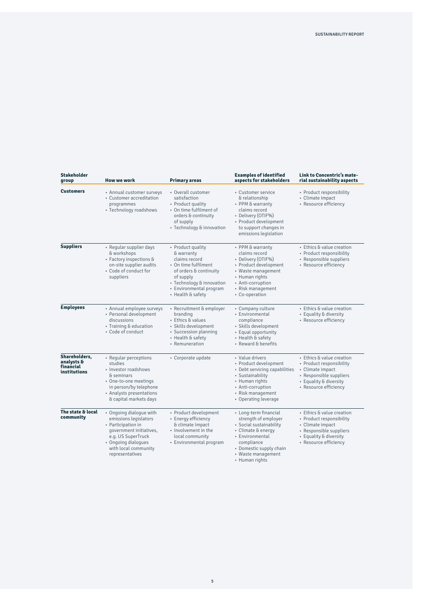| <b>Stakeholder</b><br>group                              | <b>How we work</b>                                                                                                                                                                        | <b>Primary areas</b>                                                                                                                                                                         | <b>Examples of identified</b><br>aspects for stakeholders                                                                                                                                                                                                                                                                                                     | Link to Concentric's mate-<br>rial sustainability aspects                                                                                               |
|----------------------------------------------------------|-------------------------------------------------------------------------------------------------------------------------------------------------------------------------------------------|----------------------------------------------------------------------------------------------------------------------------------------------------------------------------------------------|---------------------------------------------------------------------------------------------------------------------------------------------------------------------------------------------------------------------------------------------------------------------------------------------------------------------------------------------------------------|---------------------------------------------------------------------------------------------------------------------------------------------------------|
| <b>Customers</b>                                         | • Annual customer surveys<br>• Customer accreditation<br>programmes<br>• Technology roadshows                                                                                             | • Overall customer<br>satisfaction<br>• Product quality<br>• On time fulfilment of<br>orders & continuity<br>of supply<br>• Technology & innovation                                          | • Customer service<br>& relationship<br>• PPM & warranty<br>claims record<br>• Delivery (OTIF%)<br>· Product development<br>to support changes in<br>emissions legislation                                                                                                                                                                                    | · Product responsibility<br>• Climate impact<br>· Resource efficiency                                                                                   |
| <b>Suppliers</b>                                         | • Regular supplier days<br>& workshops<br>• Factory inspections &<br>on-site supplier audits<br>• Code of conduct for<br>suppliers                                                        | • Product quality<br>& warranty<br>claims record<br>• On time fulfilment<br>of orders & continuity<br>of supply<br>• Technology & innovation<br>• Environmental program<br>• Health & safety | • PPM & warranty<br>claims record<br>• Delivery (OTIF%)<br>· Product development<br>• Waste management<br>• Human rights<br>• Anti-corruption<br>• Risk management<br>• Co-operation                                                                                                                                                                          | • Ethics & value creation<br>· Product responsibility<br>• Responsible suppliers<br>• Resource efficiency                                               |
| <b>Employees</b>                                         | • Annual employee surveys<br>• Personal development<br>discussions<br>• Training & education<br>· Code of conduct                                                                         | • Recruitment & employer<br>branding<br>• Ethics & values<br>· Skills development<br>· Succession planning<br>• Health & safety<br>• Remuneration                                            | • Company culture<br>• Environmental<br>compliance<br>· Skills development<br>• Equal opportunity<br>• Health & safety<br>• Reward & benefits                                                                                                                                                                                                                 | · Ethics & value creation<br>• Equality & diversity<br>· Resource efficiency                                                                            |
| Shareholders,<br>analysts &<br>financial<br>institutions | • Regular perceptions<br>studies<br>· Investor roadshows<br>& seminars<br>· One-to-one meetings<br>in person/by telephone<br>• Analysts presentations<br>& capital markets days           | • Corporate update                                                                                                                                                                           | • Value drivers<br>· Product development<br>• Debt servicing capabilities<br>• Sustainability<br>• Human rights<br>• Anti-corruption<br>• Risk management<br>• Operating leverage                                                                                                                                                                             | • Ethics & value creation<br>• Product responsibility<br>• Climate impact<br>· Responsible suppliers<br>• Equality & diversity<br>• Resource efficiency |
| The state & local<br>community                           | • Ongoing dialogue with<br>emissions legislators<br>• Participation in<br>government initiatives,<br>e.g. US SuperTruck<br>· Ongoing dialogues<br>with local community<br>representatives | · Product development<br>• Energy efficiency<br>& climate Impact<br>· Involvement in the<br>local community<br>• Environmental program                                                       | · Ethics & value creation<br>• Long-term financial<br>strength of employer<br>• Product responsibility<br>· Social sustainability<br>• Climate impact<br>· Responsible suppliers<br>• Climate & energy<br>• Environmental<br>• Equality & diversity<br>· Resource efficiency<br>compliance<br>• Domestic supply chain<br>• Waste management<br>• Human rights |                                                                                                                                                         |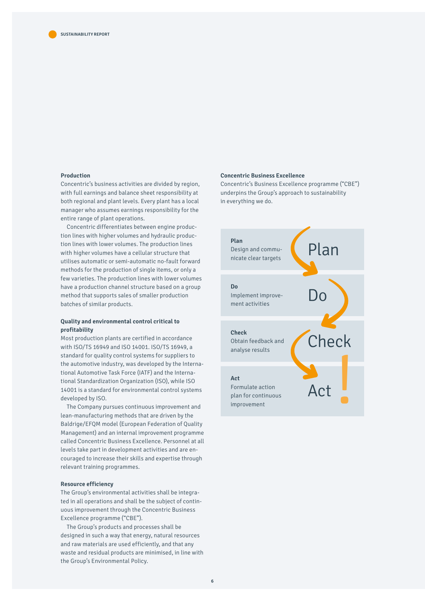# **Production**

Concentric's business activities are divided by region, with full earnings and balance sheet responsibility at both regional and plant levels. Every plant has a local manager who assumes earnings responsibility for the entire range of plant operations.

Concentric differentiates between engine production lines with higher volumes and hydraulic production lines with lower volumes. The production lines with higher volumes have a cellular structure that utilises automatic or semi-automatic no-fault forward methods for the production of single items, or only a few varieties. The production lines with lower volumes have a production channel structure based on a group method that supports sales of smaller production batches of similar products.

### **Quality and environmental control critical to profitability**

Most production plants are certified in accordance with ISO/TS 16949 and ISO 14001. ISO/TS 16949, a standard for quality control systems for suppliers to the automotive industry, was developed by the International Automotive Task Force (IATF) and the International Standardization Organization (ISO), while ISO 14001 is a standard for environmental control systems developed by ISO.

The Company pursues continuous improvement and lean-manufacturing methods that are driven by the Baldrige/EFQM model (European Federation of Quality Management) and an internal improvement programme called Concentric Business Excellence. Personnel at all levels take part in development activities and are encouraged to increase their skills and expertise through relevant training programmes.

# **Resource efficiency**

The Group's environmental activities shall be integrated in all operations and shall be the subject of continuous improvement through the Concentric Business Excellence programme ("CBE").

The Group's products and processes shall be designed in such a way that energy, natural resources and raw materials are used efficiently, and that any waste and residual products are minimised, in line with the Group's Environmental Policy.

## **Concentric Business Excellence**

Concentric's Business Excellence programme ("CBE") underpins the Group's approach to sustainability in everything we do.

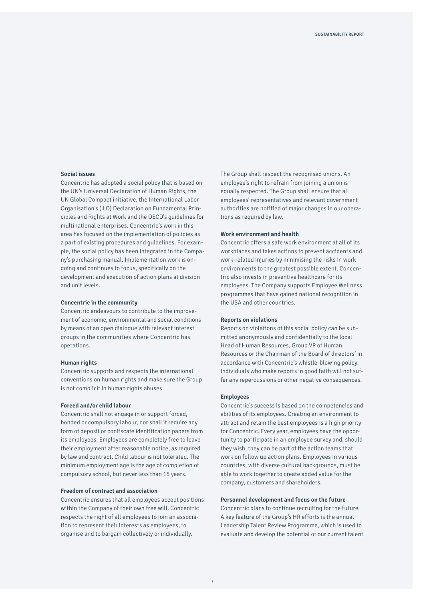#### **Social issues**

Concentric has adopted a social policy that is based on the UN's Universal Declaration of Human Rights, the UN Global Compact initiative, the International Labor Organisation's (ILO) Declaration on Fundamental Principles and Rights at Work and the OECD's guidelines for multinational enterprises. Concentric's work in this area has focused on the implementation of policies as a part of existing procedures and guidelines. For example, the social policy has been integrated in the Company's purchasing manual. Implementation work is ongoing and continues to focus, specifically on the development and execution of action plans at division and unit levels.

### **Concentric in the community**

Concentric endeavours to contribute to the improvement of economic, environmental and social conditions by means of an open dialogue with relevant interest groups in the communities where Concentric has operations.

### **Human rights**

Concentric supports and respects the international conventions on human rights and make sure the Group is not complicit in human rights abuses.

#### **Forced and/or child labour**

Concentric shall not engage in or support forced, bonded or compulsory labour, nor shall it require any form of deposit or confiscate identification papers from its employees. Employees are completely free to leave their employment after reasonable notice, as required by law and contract. Child labour is not tolerated. The minimum employment age is the age of completion of compulsory school, but never less than 15 years.

#### **Freedom of contract and association**

Concentric ensures that all employees accept positions within the Company of their own free will. Concentric respects the right of all employees to join an association to represent their interests as employees, to organise and to bargain collectively or individually.

The Group shall respect the recognised unions. An employee's right to refrain from joining a union is equally respected. The Group shall ensure that all employees' representatives and relevant government authorities are notified of major changes in our operations as required by law.

#### **Work environment and health**

Concentric offers a safe work environment at all of its workplaces and takes actions to prevent accidents and work-related injuries by minimising the risks in work environments to the greatest possible extent. Concentric also invests in preventive healthcare for its employees. The Company supports Employee Wellness programmes that have gained national recognition in the USA and other countries.

#### **Reports on violations**

Reports on violations of this social policy can be submitted anonymously and confidentially to the local Head of Human Resources, Group VP of Human Resources or the Chairman of the Board of directors' in accordance with Concentric's whistle-blowing policy. Individuals who make reports in good faith will not suffer any repercussions or other negative consequences.

#### **Employees**

Concentric's success is based on the competencies and abilities of its employees. Creating an environment to attract and retain the best employees is a high priority for Concentric. Every year, employees have the opportunity to participate in an employee survey and, should they wish, they can be part of the action teams that work on follow up action plans. Employees in various countries, with diverse cultural backgrounds, must be able to work together to create added value for the company, customers and shareholders.

#### **Personnel development and focus on the future**

Concentric plans to continue recruiting for the future. A key feature of the Group's HR efforts is the annual Leadership Talent Review Programme, which is used to evaluate and develop the potential of our current talent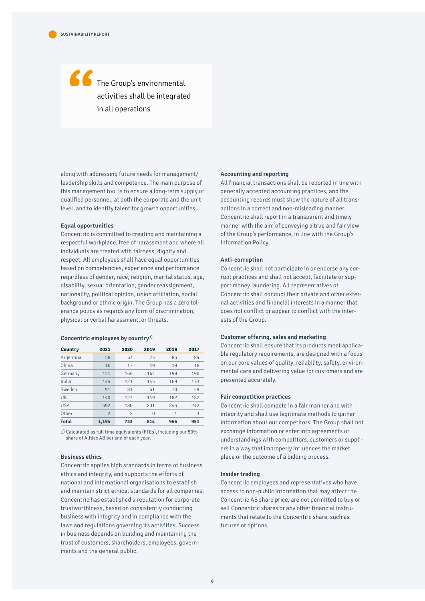# The Group's environmental activities shall be integrated "<br>"<br>" in all operations

along with addressing future needs for management/ leadership skills and competence. The main purpose of this management tool is to ensure a long-term supply of qualified personnel, at both the corporate and the unit level, and to identify talent for growth opportunities.

#### **Equal opportunities**

Concentric is committed to creating and maintaining a respectful workplace, free of harassment and where all individuals are treated with fairness, dignity and respect. All employees shall have equal opportunities based on competencies, experience and performance regardless of gender, race, religion, marital status, age, disability, sexual orientation, gender reassignment, nationality, political opinion, union affiliation, social background or ethnic origin. The Group has a zero tolerance policy as regards any form of discrimination, physical or verbal harassment, or threats.

#### **Concentric employees by country1)**

| Country      | 2021           | 2020           | 2019     | 2018         | 2017 |
|--------------|----------------|----------------|----------|--------------|------|
| Argentina    | 58             | 63             | 75       | 83           | 84   |
| China        | 16             | 17             | 19       | 19           | 18   |
| Germany      | 151            | 166            | 164      | 199          | 190  |
| India        | 144            | 121            | 145      | 169          | 173  |
| Sweden       | 91             | 81             | 61       | 70           | 59   |
| <b>UK</b>    | 140            | 123            | 149      | 182          | 182  |
| <b>USA</b>   | 592            | 180            | 201      | 243          | 242  |
| Other        | $\overline{2}$ | $\overline{2}$ | $\Omega$ | $\mathbf{1}$ | 3    |
| <b>Total</b> | 1.194          | 753            | 814      | 966          | 951  |

1) Calculated as full time equivalents (FTEs), including our 50% share of Alfdex AB per end of each year.

### **Business ethics**

Concentric applies high standards in terms of business ethics and integrity, and supports the efforts of national and international organisations to establish and maintain strict ethical standards for all companies. Concentric has established a reputation for corporate trustworthiness, based on consistently conducting business with integrity and in compliance with the laws and regulations governing its activities. Success in business depends on building and maintaining the trust of customers, shareholders, employees, governments and the general public.

#### **Accounting and reporting**

All financial transactions shall be reported in line with generally accepted accounting practices, and the accounting records must show the nature of all transactions in a correct and non-misleading manner. Concentric shall report in a transparent and timely manner with the aim of conveying a true and fair view of the Group's performance, in line with the Group's Information Policy.

#### **Anti-corruption**

Concentric shall not participate in or endorse any corrupt practices and shall not accept, facilitate or support money laundering. All representatives of Concentric shall conduct their private and other external activities and financial interests in a manner that does not conflict or appear to conflict with the interests of the Group.

#### **Customer offering, sales and marketing**

Concentric shall ensure that its products meet applicable regulatory requirements, are designed with a focus on our core values of quality, reliability, safety, environmental care and delivering value for customers and are presented accurately.

#### **Fair competition practices**

Concentric shall compete in a fair manner and with integrity and shall use legitimate methods to gather information about our competitors. The Group shall not exchange information or enter into agreements or understandings with competitors, customers or suppliers in a way that improperly influences the market place or the outcome of a bidding process.

#### **Insider trading**

Concentric employees and representatives who have access to non-public information that may affect the Concentric AB share price, are not permitted to buy or sell Concentric shares or any other financial instruments that relate to the Concentric share, such as futures or options.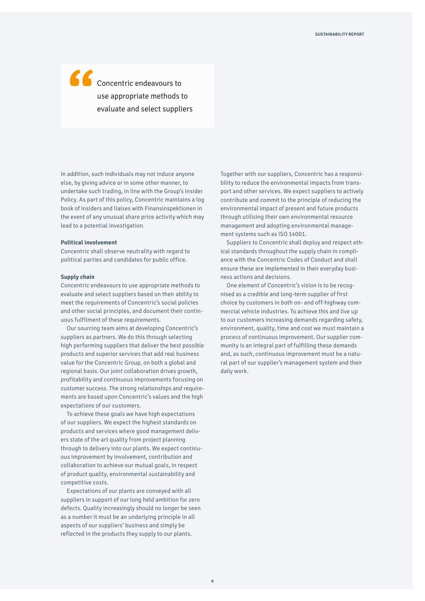Concentric endeavours to use appropriate methods to "<br>"<br>" evaluate and select suppliers

In addition, such individuals may not induce anyone else, by giving advice or in some other manner, to undertake such trading, in line with the Group's Insider Policy. As part of this policy, Concentric maintains a log book of insiders and liaises with Finansinspektionen in the event of any unusual share price activity which may lead to a potential investigation.

#### **Political involvement**

Concentric shall observe neutrality with regard to political parties and candidates for public office.

#### **Supply chain**

Concentric endeavours to use appropriate methods to evaluate and select suppliers based on their ability to meet the requirements of Concentric's social policies and other social principles, and document their continuous fulfilment of these requirements.

Our sourcing team aims at developing Concentric's suppliers as partners. We do this through selecting high performing suppliers that deliver the best possible products and superior services that add real business value for the Concentric Group, on both a global and regional basis. Our joint collaboration drives growth, profitability and continuous improvements focusing on customer success. The strong relationships and requirements are based upon Concentric's values and the high expectations of our customers.

To achieve these goals we have high expectations of our suppliers. We expect the highest standards on products and services where good management delivers state of the art quality from project planning through to delivery into our plants. We expect continuous improvement by involvement, contribution and collaboration to achieve our mutual goals, in respect of product quality, environmental sustainability and competitive costs.

Expectations of our plants are conveyed with all suppliers in support of our long held ambition for zero defects. Quality increasingly should no longer be seen as a number it must be an underlying principle in all aspects of our suppliers' business and simply be reflected in the products they supply to our plants.

Together with our suppliers, Concentric has a responsibility to reduce the environmental impacts from transport and other services. We expect suppliers to actively contribute and commit to the principle of reducing the environmental impact of present and future products through utilising their own environmental resource management and adopting environmental management systems such as ISO 14001.

Suppliers to Concentric shall deploy and respect ethical standards throughout the supply chain in compliance with the Concentric Codes of Conduct and shall ensure these are implemented in their everyday business actions and decisions.

One element of Concentric's vision is to be recognised as a credible and long-term supplier of first choice by customers in both on- and off-highway commercial vehicle industries. To achieve this and live up to our customers increasing demands regarding safety, environment, quality, time and cost we must maintain a process of continuous improvement. Our supplier community is an integral part of fulfilling these demands and, as such, continuous improvement must be a natural part of our supplier's management system and their daily work.